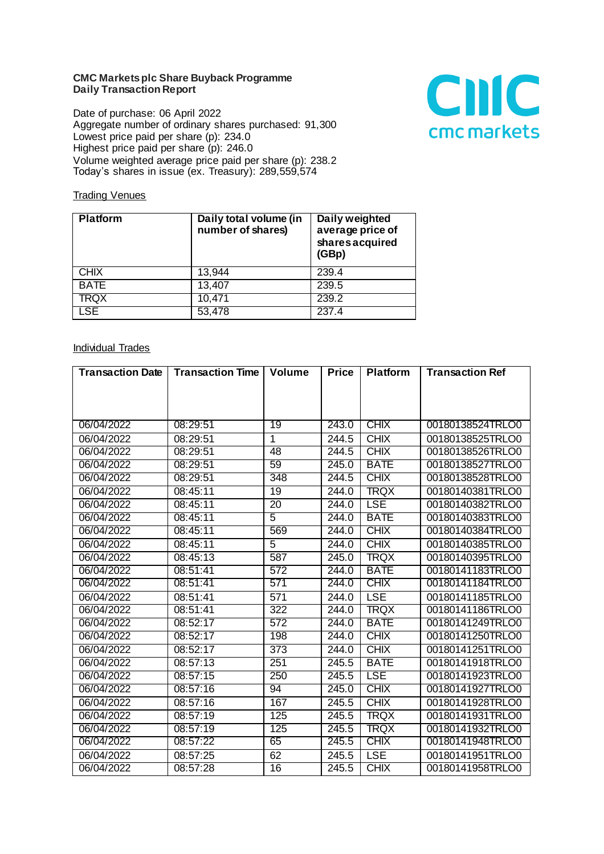## **CMC Markets plc Share Buyback Programme Daily Transaction Report**

Date of purchase: 06 April 2022 Aggregate number of ordinary shares purchased: 91,300 Lowest price paid per share (p): 234.0 Highest price paid per share (p): 246.0 Volume weighted average price paid per share (p): 238.2 Today's shares in issue (ex. Treasury): 289,559,574



## **Trading Venues**

| <b>Platform</b> | Daily total volume (in<br>number of shares) | Daily weighted<br>average price of<br>shares acquired<br>(GBp) |
|-----------------|---------------------------------------------|----------------------------------------------------------------|
| <b>CHIX</b>     | 13,944                                      | 239.4                                                          |
| <b>BATE</b>     | 13,407                                      | 239.5                                                          |
| TRQX            | 10,471                                      | 239.2                                                          |
| <b>LSE</b>      | 53,478                                      | 237.4                                                          |

## Individual Trades

| <b>Transaction Date</b> | <b>Transaction Time</b> | <b>Volume</b>    | <b>Price</b> | <b>Platform</b> | <b>Transaction Ref</b> |
|-------------------------|-------------------------|------------------|--------------|-----------------|------------------------|
|                         |                         |                  |              |                 |                        |
|                         |                         |                  |              |                 |                        |
|                         |                         |                  |              |                 |                        |
| 06/04/2022              | 08:29:51                | 19               | 243.0        | <b>CHIX</b>     | 00180138524TRLO0       |
| 06/04/2022              | 08:29:51                | $\mathbf{1}$     | 244.5        | <b>CHIX</b>     | 00180138525TRLO0       |
| 06/04/2022              | 08:29:51                | 48               | 244.5        | <b>CHIX</b>     | 00180138526TRLO0       |
| 06/04/2022              | 08:29:51                | 59               | 245.0        | <b>BATE</b>     | 00180138527TRLO0       |
| 06/04/2022              | 08:29:51                | 348              | 244.5        | <b>CHIX</b>     | 00180138528TRLO0       |
| 06/04/2022              | 08:45:11                | 19               | 244.0        | <b>TRQX</b>     | 00180140381TRLO0       |
| 06/04/2022              | 08:45:11                | $\overline{20}$  | 244.0        | <b>LSE</b>      | 00180140382TRLO0       |
| 06/04/2022              | 08:45:11                | $\overline{5}$   | 244.0        | <b>BATE</b>     | 00180140383TRLO0       |
| 06/04/2022              | 08:45:11                | 569              | 244.0        | CHIX            | 00180140384TRLO0       |
| 06/04/2022              | 08:45:11                | $\overline{5}$   | 244.0        | <b>CHIX</b>     | 00180140385TRLO0       |
| 06/04/2022              | 08:45:13                | 587              | 245.0        | <b>TRQX</b>     | 00180140395TRLO0       |
| 06/04/2022              | 08:51:41                | 572              | 244.0        | <b>BATE</b>     | 00180141183TRLO0       |
| 06/04/2022              | 08:51:41                | 571              | 244.0        | <b>CHIX</b>     | 00180141184TRLO0       |
| 06/04/2022              | 08:51:41                | 571              | 244.0        | <b>LSE</b>      | 00180141185TRLO0       |
| 06/04/2022              | 08:51:41                | 322              | 244.0        | <b>TRQX</b>     | 00180141186TRLO0       |
| 06/04/2022              | 08:52:17                | 572              | 244.0        | <b>BATE</b>     | 00180141249TRLO0       |
| 06/04/2022              | 08:52:17                | 198              | 244.0        | <b>CHIX</b>     | 00180141250TRLO0       |
| 06/04/2022              | 08:52:17                | $\overline{373}$ | 244.0        | <b>CHIX</b>     | 00180141251TRLO0       |
| 06/04/2022              | 08:57:13                | 251              | 245.5        | <b>BATE</b>     | 00180141918TRLO0       |
| 06/04/2022              | 08:57:15                | 250              | 245.5        | <b>LSE</b>      | 00180141923TRLO0       |
| 06/04/2022              | 08:57:16                | 94               | 245.0        | <b>CHIX</b>     | 00180141927TRLO0       |
| 06/04/2022              | 08:57:16                | 167              | 245.5        | <b>CHIX</b>     | 00180141928TRLO0       |
| 06/04/2022              | 08:57:19                | 125              | 245.5        | <b>TRQX</b>     | 00180141931TRLO0       |
| 06/04/2022              | 08:57:19                | 125              | 245.5        | TRQX            | 00180141932TRLO0       |
| 06/04/2022              | 08:57:22                | 65               | 245.5        | <b>CHIX</b>     | 00180141948TRLO0       |
| 06/04/2022              | 08:57:25                | 62               | 245.5        | <b>LSE</b>      | 00180141951TRLO0       |
| 06/04/2022              | 08:57:28                | $\overline{16}$  | 245.5        | <b>CHIX</b>     | 00180141958TRLO0       |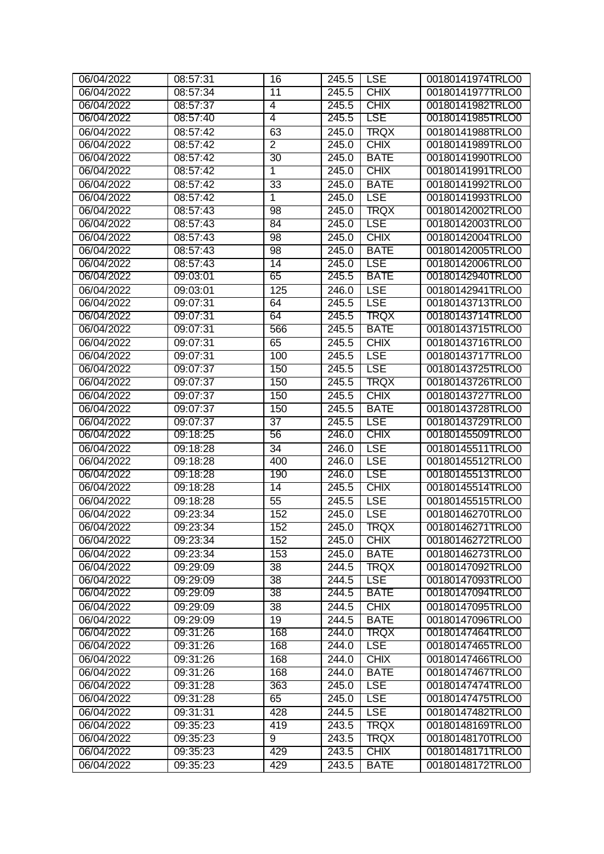| 06/04/2022 | 08:57:31 | 16              | $\overline{2}$ 45.5 | <b>LSE</b>  | 00180141974TRLO0 |
|------------|----------|-----------------|---------------------|-------------|------------------|
| 06/04/2022 | 08:57:34 | $\overline{11}$ | 245.5               | <b>CHIX</b> | 00180141977TRLO0 |
| 06/04/2022 | 08:57:37 | 4               | 245.5               | <b>CHIX</b> | 00180141982TRLO0 |
| 06/04/2022 | 08:57:40 | 4               | 245.5               | <b>LSE</b>  | 00180141985TRLO0 |
| 06/04/2022 | 08:57:42 | 63              | 245.0               | <b>TRQX</b> | 00180141988TRLO0 |
| 06/04/2022 | 08:57:42 | $\overline{2}$  | 245.0               | <b>CHIX</b> | 00180141989TRLO0 |
| 06/04/2022 | 08:57:42 | 30              | 245.0               | <b>BATE</b> | 00180141990TRLO0 |
| 06/04/2022 | 08:57:42 | 1               | 245.0               | <b>CHIX</b> | 00180141991TRLO0 |
| 06/04/2022 | 08:57:42 | 33              | 245.0               | <b>BATE</b> | 00180141992TRLO0 |
| 06/04/2022 | 08:57:42 | $\overline{1}$  | 245.0               | <b>LSE</b>  | 00180141993TRLO0 |
| 06/04/2022 | 08:57:43 | 98              | 245.0               | TRQX        | 00180142002TRLO0 |
| 06/04/2022 | 08:57:43 | 84              | 245.0               | <b>LSE</b>  | 00180142003TRLO0 |
| 06/04/2022 | 08:57:43 | 98              | 245.0               | <b>CHIX</b> | 00180142004TRLO0 |
| 06/04/2022 | 08:57:43 | 98              | 245.0               | <b>BATE</b> | 00180142005TRLO0 |
| 06/04/2022 | 08:57:43 | 14              | 245.0               | <b>LSE</b>  | 00180142006TRLO0 |
| 06/04/2022 | 09:03:01 | 65              | 245.5               | <b>BATE</b> | 00180142940TRLO0 |
| 06/04/2022 | 09:03:01 | 125             | 246.0               | <b>LSE</b>  | 00180142941TRLO0 |
| 06/04/2022 | 09:07:31 | 64              | 245.5               | <b>LSE</b>  | 00180143713TRLO0 |
| 06/04/2022 | 09:07:31 | 64              | 245.5               | TRQX        | 00180143714TRLO0 |
| 06/04/2022 | 09:07:31 | 566             | 245.5               | <b>BATE</b> | 00180143715TRLO0 |
| 06/04/2022 | 09:07:31 | 65              | 245.5               | <b>CHIX</b> | 00180143716TRLO0 |
| 06/04/2022 | 09:07:31 | 100             | 245.5               | <b>LSE</b>  | 00180143717TRLO0 |
| 06/04/2022 | 09:07:37 | 150             | 245.5               | LSE         | 00180143725TRLO0 |
| 06/04/2022 | 09:07:37 | 150             | 245.5               | TRQX        | 00180143726TRLO0 |
| 06/04/2022 | 09:07:37 | 150             | 245.5               | <b>CHIX</b> | 00180143727TRLO0 |
| 06/04/2022 | 09:07:37 | 150             | 245.5               | <b>BATE</b> | 00180143728TRLO0 |
| 06/04/2022 | 09:07:37 | 37              | 245.5               | <b>LSE</b>  | 00180143729TRLO0 |
| 06/04/2022 | 09:18:25 | 56              | 246.0               | <b>CHIX</b> | 00180145509TRLO0 |
| 06/04/2022 | 09:18:28 | $\overline{34}$ | 246.0               | <b>LSE</b>  | 00180145511TRLO0 |
| 06/04/2022 | 09:18:28 | 400             | $\overline{2}46.0$  | <b>LSE</b>  | 00180145512TRLO0 |
| 06/04/2022 | 09:18:28 | 190             | 246.0               | LSE         | 00180145513TRLO0 |
| 06/04/2022 | 09:18:28 | 14              | 245.5               | <b>CHIX</b> | 00180145514TRLO0 |
| 06/04/2022 | 09:18:28 | $\overline{55}$ | 245.5               | <b>LSE</b>  | 00180145515TRLO0 |
| 06/04/2022 | 09:23:34 | 152             | $\sqrt{245.0}$      | <b>LSE</b>  | 00180146270TRLO0 |
| 06/04/2022 | 09:23:34 | 152             |                     | 245.0 TRQX  | 00180146271TRLO0 |
| 06/04/2022 | 09:23:34 | 152             | 245.0               | <b>CHIX</b> | 00180146272TRLO0 |
| 06/04/2022 | 09:23:34 | 153             | 245.0               | <b>BATE</b> | 00180146273TRLO0 |
| 06/04/2022 | 09:29:09 | 38              | 244.5               | <b>TRQX</b> | 00180147092TRLO0 |
| 06/04/2022 | 09:29:09 | 38              | 244.5               | <b>LSE</b>  | 00180147093TRLO0 |
| 06/04/2022 | 09:29:09 | 38              | 244.5               | <b>BATE</b> | 00180147094TRLO0 |
| 06/04/2022 | 09:29:09 | 38              | 244.5               | <b>CHIX</b> | 00180147095TRLO0 |
| 06/04/2022 | 09:29:09 | $\overline{19}$ | 244.5               | <b>BATE</b> | 00180147096TRLO0 |
| 06/04/2022 | 09:31:26 | 168             | 244.0               | TRQX        | 00180147464TRLO0 |
| 06/04/2022 | 09:31:26 | 168             | 244.0               | <b>LSE</b>  | 00180147465TRLO0 |
| 06/04/2022 | 09:31:26 | 168             | 244.0               | <b>CHIX</b> | 00180147466TRLO0 |
| 06/04/2022 | 09:31:26 | 168             | 244.0               | <b>BATE</b> | 00180147467TRLO0 |
| 06/04/2022 | 09:31:28 | 363             | 245.0               | <b>LSE</b>  | 00180147474TRLO0 |
| 06/04/2022 | 09:31:28 | 65              | 245.0               | <b>LSE</b>  | 00180147475TRLO0 |
| 06/04/2022 | 09:31:31 | 428             | 244.5               | <b>LSE</b>  | 00180147482TRLO0 |
| 06/04/2022 | 09:35:23 | 419             | 243.5               | <b>TRQX</b> | 00180148169TRLO0 |
| 06/04/2022 | 09:35:23 | 9               | 243.5               | TRQX        | 00180148170TRLO0 |
| 06/04/2022 | 09:35:23 | 429             | 243.5               | <b>CHIX</b> | 00180148171TRLO0 |
| 06/04/2022 | 09:35:23 | 429             | 243.5               | <b>BATE</b> | 00180148172TRLO0 |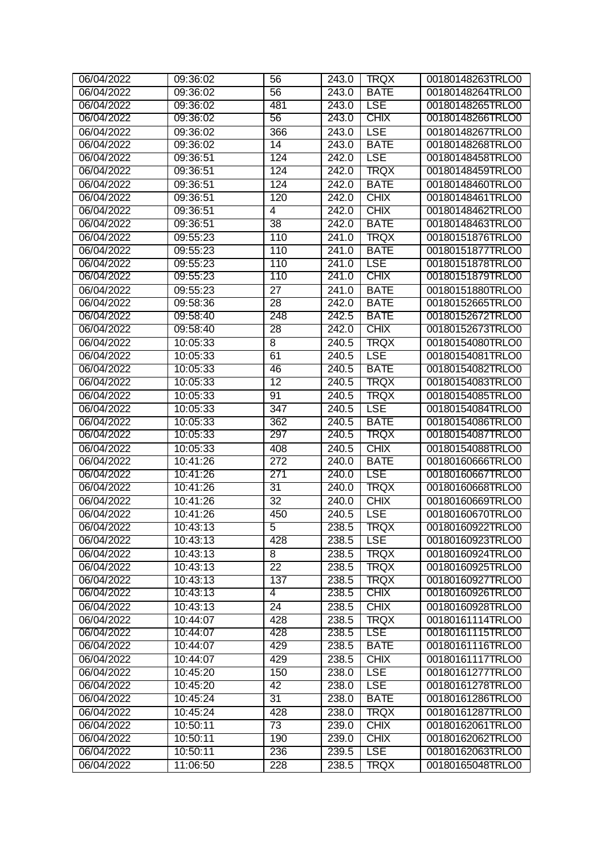| 06/04/2022 | 09:36:02 | 56              | $\overline{2}$ 43.0 | <b>TRQX</b> | 00180148263TRLO0 |
|------------|----------|-----------------|---------------------|-------------|------------------|
| 06/04/2022 | 09:36:02 | $\overline{56}$ | 243.0               | <b>BATE</b> | 00180148264TRLO0 |
| 06/04/2022 | 09:36:02 | 481             | 243.0               | <b>LSE</b>  | 00180148265TRLO0 |
| 06/04/2022 | 09:36:02 | 56              | 243.0               | <b>CHIX</b> | 00180148266TRLO0 |
| 06/04/2022 | 09:36:02 | 366             | 243.0               | <b>LSE</b>  | 00180148267TRLO0 |
| 06/04/2022 | 09:36:02 | 14              | 243.0               | <b>BATE</b> | 00180148268TRLO0 |
| 06/04/2022 | 09:36:51 | 124             | 242.0               | LSE         | 00180148458TRLO0 |
| 06/04/2022 | 09:36:51 | 124             | 242.0               | TRQX        | 00180148459TRLO0 |
| 06/04/2022 | 09:36:51 | 124             | 242.0               | <b>BATE</b> | 00180148460TRLO0 |
| 06/04/2022 | 09:36:51 | 120             | 242.0               | <b>CHIX</b> | 00180148461TRLO0 |
| 06/04/2022 | 09:36:51 | 4               | 242.0               | <b>CHIX</b> | 00180148462TRLO0 |
| 06/04/2022 | 09:36:51 | 38              | 242.0               | <b>BATE</b> | 00180148463TRLO0 |
| 06/04/2022 | 09:55:23 | 110             | 241.0               | <b>TRQX</b> | 00180151876TRLO0 |
| 06/04/2022 | 09:55:23 | 110             | 241.0               | <b>BATE</b> | 00180151877TRLO0 |
| 06/04/2022 | 09:55:23 | 110             | 241.0               | <b>LSE</b>  | 00180151878TRLO0 |
| 06/04/2022 | 09:55:23 | 110             | 241.0               | <b>CHIX</b> | 00180151879TRLO0 |
| 06/04/2022 | 09:55:23 | $\overline{27}$ | 241.0               | <b>BATE</b> | 00180151880TRLO0 |
| 06/04/2022 | 09:58:36 | $\overline{28}$ | 242.0               | <b>BATE</b> | 00180152665TRLO0 |
| 06/04/2022 | 09:58:40 | 248             | 242.5               | <b>BATE</b> | 00180152672TRLO0 |
| 06/04/2022 | 09:58:40 | 28              | 242.0               | <b>CHIX</b> | 00180152673TRLO0 |
| 06/04/2022 | 10:05:33 | $\overline{8}$  | 240.5               | <b>TRQX</b> | 00180154080TRLO0 |
| 06/04/2022 | 10:05:33 | 61              | 240.5               | <b>LSE</b>  | 00180154081TRLO0 |
| 06/04/2022 | 10:05:33 | 46              | 240.5               | <b>BATE</b> | 00180154082TRLO0 |
| 06/04/2022 | 10:05:33 | 12              | 240.5               | TRQX        | 00180154083TRLO0 |
| 06/04/2022 | 10:05:33 | $\overline{91}$ | 240.5               | <b>TRQX</b> | 00180154085TRLO0 |
| 06/04/2022 | 10:05:33 | 347             | 240.5               | <b>LSE</b>  | 00180154084TRLO0 |
| 06/04/2022 | 10:05:33 | 362             | 240.5               | <b>BATE</b> | 00180154086TRLO0 |
| 06/04/2022 | 10:05:33 | 297             | 240.5               | TRQX        | 00180154087TRLO0 |
| 06/04/2022 | 10:05:33 | 408             | 240.5               | <b>CHIX</b> | 00180154088TRLO0 |
| 06/04/2022 | 10:41:26 | 272             | 240.0               | <b>BATE</b> | 00180160666TRLO0 |
| 06/04/2022 | 10:41:26 | 271             | 240.0               | LSE         | 00180160667TRLO0 |
| 06/04/2022 | 10:41:26 | 31              | 240.0               | TRQX        | 00180160668TRLO0 |
| 06/04/2022 | 10:41:26 | $\overline{32}$ | 240.0               | <b>CHIX</b> | 00180160669TRLO0 |
| 06/04/2022 | 10:41:26 | 450             | $\sqrt{240.5}$      | <b>LSE</b>  | 00180160670TRLO0 |
| 06/04/2022 | 10:43:13 | 5               | 238.5               | <b>TRQX</b> | 00180160922TRLO0 |
| 06/04/2022 | 10:43:13 | 428             | 238.5               | <b>LSE</b>  | 00180160923TRLO0 |
| 06/04/2022 | 10:43:13 | 8               | 238.5               | TRQX        | 00180160924TRLO0 |
| 06/04/2022 | 10:43:13 | 22              | 238.5               | <b>TRQX</b> | 00180160925TRLO0 |
| 06/04/2022 | 10:43:13 | 137             | 238.5               | TRQX        | 00180160927TRLO0 |
| 06/04/2022 | 10:43:13 | 4               | 238.5               | <b>CHIX</b> | 00180160926TRLO0 |
| 06/04/2022 | 10:43:13 | $\overline{24}$ | 238.5               | <b>CHIX</b> | 00180160928TRLO0 |
| 06/04/2022 | 10:44:07 | 428             | 238.5               | <b>TRQX</b> | 00180161114TRLO0 |
| 06/04/2022 | 10:44:07 | 428             | 238.5               | <b>LSE</b>  | 00180161115TRLO0 |
| 06/04/2022 | 10:44:07 | 429             | 238.5               | <b>BATE</b> | 00180161116TRLO0 |
| 06/04/2022 | 10:44:07 | 429             | 238.5               | <b>CHIX</b> | 00180161117TRLO0 |
| 06/04/2022 | 10:45:20 | 150             | 238.0               | <b>LSE</b>  | 00180161277TRLO0 |
| 06/04/2022 | 10:45:20 | 42              | 238.0               | <b>LSE</b>  | 00180161278TRLO0 |
| 06/04/2022 | 10:45:24 | 31              | 238.0               | <b>BATE</b> | 00180161286TRLO0 |
| 06/04/2022 | 10:45:24 | 428             | 238.0               | <b>TRQX</b> | 00180161287TRLO0 |
| 06/04/2022 | 10:50:11 | 73              | 239.0               | <b>CHIX</b> | 00180162061TRLO0 |
| 06/04/2022 | 10:50:11 | 190             | 239.0               | <b>CHIX</b> | 00180162062TRLO0 |
| 06/04/2022 | 10:50:11 | 236             | 239.5               | <b>LSE</b>  | 00180162063TRLO0 |
| 06/04/2022 | 11:06:50 | 228             | 238.5               | TRQX        | 00180165048TRLO0 |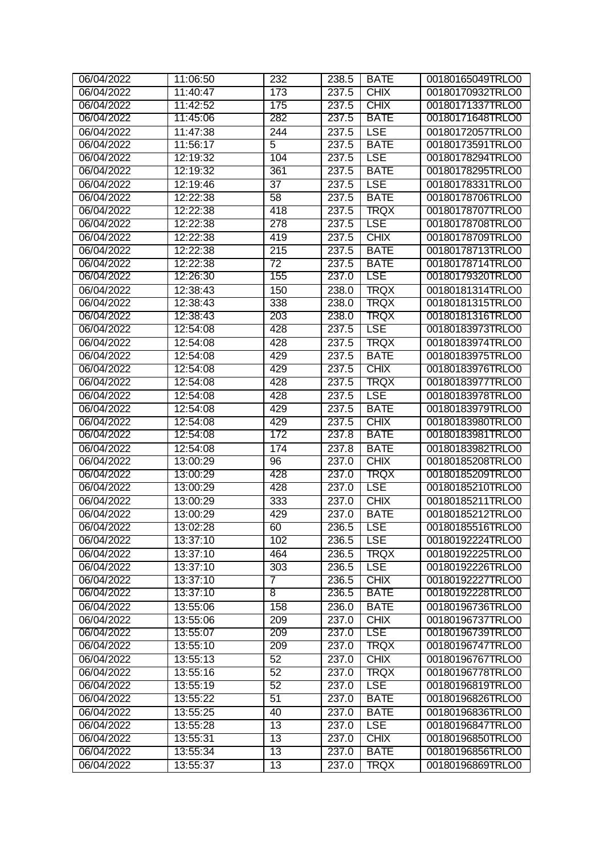| 06/04/2022               | 11:06:50             | $\overline{232}$ | 238.5 | <b>BATE</b>                | 00180165049TRLO0                     |
|--------------------------|----------------------|------------------|-------|----------------------------|--------------------------------------|
| 06/04/2022               | 11:40:47             | 173              | 237.5 | <b>CHIX</b>                | 00180170932TRLO0                     |
| 06/04/2022               | 11:42:52             | 175              | 237.5 | <b>CHIX</b>                | 00180171337TRLO0                     |
| 06/04/2022               | 11:45:06             | 282              | 237.5 | <b>BATE</b>                | 00180171648TRLO0                     |
| 06/04/2022               | 11:47:38             | 244              | 237.5 | <b>LSE</b>                 | 00180172057TRLO0                     |
| 06/04/2022               | 11:56:17             | 5                | 237.5 | <b>BATE</b>                | 00180173591TRLO0                     |
| 06/04/2022               | 12:19:32             | 104              | 237.5 | LSE                        | 00180178294TRLO0                     |
| 06/04/2022               | 12:19:32             | 361              | 237.5 | <b>BATE</b>                | 00180178295TRLO0                     |
| 06/04/2022               | 12:19:46             | 37               | 237.5 | <b>LSE</b>                 | 00180178331TRLO0                     |
| 06/04/2022               | 12:22:38             | 58               | 237.5 | <b>BATE</b>                | 00180178706TRLO0                     |
| 06/04/2022               | 12:22:38             | 418              | 237.5 | TRQX                       | 00180178707TRLO0                     |
| 06/04/2022               | 12:22:38             | 278              | 237.5 | LSE                        | 00180178708TRLO0                     |
| 06/04/2022               | 12:22:38             | 419              | 237.5 | <b>CHIX</b>                | 00180178709TRLO0                     |
| 06/04/2022               | 12:22:38             | 215              | 237.5 | <b>BATE</b>                | 00180178713TRLO0                     |
| 06/04/2022               | 12:22:38             | 72               | 237.5 | <b>BATE</b>                | 00180178714TRLO0                     |
| 06/04/2022               | 12:26:30             | 155              | 237.0 | <b>LSE</b>                 | 00180179320TRLO0                     |
| 06/04/2022               | 12:38:43             | 150              | 238.0 | <b>TRQX</b>                | 00180181314TRLO0                     |
| 06/04/2022               | 12:38:43             | 338              | 238.0 | <b>TRQX</b>                | 00180181315TRLO0                     |
| 06/04/2022               | 12:38:43             | 203              | 238.0 | TRQX                       | 00180181316TRLO0                     |
| 06/04/2022               | 12:54:08             | 428              | 237.5 | LSE                        | 00180183973TRLO0                     |
| 06/04/2022               | 12:54:08             | 428              | 237.5 | <b>TRQX</b>                | 00180183974TRLO0                     |
| 06/04/2022               | 12:54:08             | 429              | 237.5 | <b>BATE</b>                | 00180183975TRLO0                     |
| 06/04/2022               | 12:54:08             | 429              | 237.5 | <b>CHIX</b>                | 00180183976TRLO0                     |
| 06/04/2022               | 12:54:08             | 428              | 237.5 | TRQX                       | 00180183977TRLO0                     |
| 06/04/2022               | 12:54:08             | 428              | 237.5 | <b>LSE</b>                 | 00180183978TRLO0                     |
| 06/04/2022               | 12:54:08             | 429              | 237.5 | <b>BATE</b>                | 00180183979TRLO0                     |
| 06/04/2022               | 12:54:08             | 429              | 237.5 | <b>CHIX</b>                | 00180183980TRLO0                     |
| 06/04/2022               | 12:54:08             | 172              | 237.8 | <b>BATE</b>                | 00180183981TRLO0                     |
| 06/04/2022               | 12:54:08             | 174              | 237.8 | <b>BATE</b>                | 00180183982TRLO0                     |
| 06/04/2022               | 13:00:29             | $\overline{96}$  | 237.0 | <b>CHIX</b>                | 00180185208TRLO0                     |
| 06/04/2022               | 13:00:29             | 428              | 237.0 | TRQX                       | 00180185209TRLO0                     |
| 06/04/2022               | 13:00:29             | 428              | 237.0 | LSE                        | 00180185210TRLO0                     |
| 06/04/2022               |                      |                  |       | <b>CHIX</b>                |                                      |
|                          | 13:00:29<br>13:00:29 | 333              | 237.0 |                            | 00180185211TRLO0<br>00180185212TRLO0 |
| 06/04/2022<br>06/04/2022 |                      | 429              | 237.0 | <b>BATE</b><br><b>TLSE</b> |                                      |
|                          | 13:02:28             | 60               | 236.5 |                            | 00180185516TRLO0                     |
| 06/04/2022               | 13:37:10             | 102              | 236.5 | <b>LSE</b>                 | 00180192224TRLO0                     |
| 06/04/2022               | 13:37:10             | 464              | 236.5 | <b>TRQX</b>                | 00180192225TRLO0                     |
| 06/04/2022               | 13:37:10             | 303              | 236.5 | <b>LSE</b>                 | 00180192226TRLO0                     |
| 06/04/2022               | 13:37:10             | 7                | 236.5 | <b>CHIX</b>                | 00180192227TRLO0                     |
| 06/04/2022               | 13:37:10             | $\overline{8}$   | 236.5 | <b>BATE</b>                | 00180192228TRLO0                     |
| 06/04/2022               | 13:55:06             | 158              | 236.0 | <b>BATE</b>                | 00180196736TRLO0                     |
| 06/04/2022               | 13:55:06             | 209              | 237.0 | <b>CHIX</b>                | 00180196737TRLO0                     |
| 06/04/2022               | 13:55:07             | 209              | 237.0 | <b>LSE</b>                 | 00180196739TRLO0                     |
| 06/04/2022               | 13:55:10             | 209              | 237.0 | TRQX                       | 00180196747TRLO0                     |
| 06/04/2022               | 13:55:13             | 52               | 237.0 | <b>CHIX</b>                | 00180196767TRLO0                     |
| 06/04/2022               | 13:55:16             | 52               | 237.0 | <b>TRQX</b>                | 00180196778TRLO0                     |
| 06/04/2022               | 13:55:19             | 52               | 237.0 | <b>LSE</b>                 | 00180196819TRLO0                     |
| 06/04/2022               | 13:55:22             | 51               | 237.0 | <b>BATE</b>                | 00180196826TRLO0                     |
| 06/04/2022               | 13:55:25             | 40               | 237.0 | <b>BATE</b>                | 00180196836TRLO0                     |
| 06/04/2022               | 13:55:28             | $\overline{13}$  | 237.0 | <b>LSE</b>                 | 00180196847TRLO0                     |
| 06/04/2022               | 13:55:31             | 13               | 237.0 | <b>CHIX</b>                | 00180196850TRLO0                     |
| 06/04/2022               | 13:55:34             | 13               | 237.0 | <b>BATE</b>                | 00180196856TRLO0                     |
| 06/04/2022               | 13:55:37             | 13               | 237.0 | <b>TRQX</b>                | 00180196869TRLO0                     |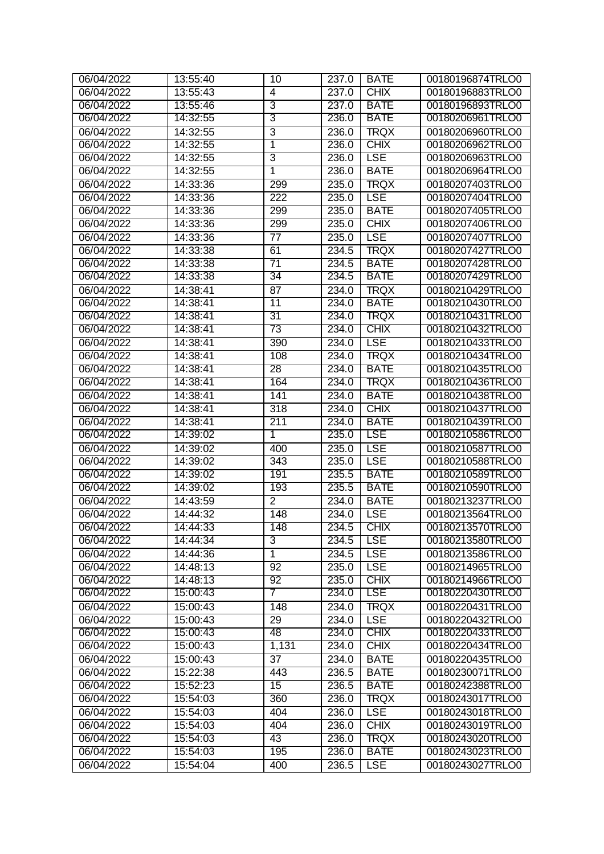| 06/04/2022 | 13:55:40 | 10               | 237.0 | <b>BATE</b> | 00180196874TRLO0 |
|------------|----------|------------------|-------|-------------|------------------|
| 06/04/2022 | 13:55:43 | 4                | 237.0 | <b>CHIX</b> | 00180196883TRLO0 |
| 06/04/2022 | 13:55:46 | 3                | 237.0 | <b>BATE</b> | 00180196893TRLO0 |
| 06/04/2022 | 14:32:55 | 3                | 236.0 | <b>BATE</b> | 00180206961TRLO0 |
| 06/04/2022 | 14:32:55 | $\overline{3}$   | 236.0 | <b>TRQX</b> | 00180206960TRLO0 |
| 06/04/2022 | 14:32:55 | 1                | 236.0 | <b>CHIX</b> | 00180206962TRLO0 |
| 06/04/2022 | 14:32:55 | 3                | 236.0 | LSE         | 00180206963TRLO0 |
| 06/04/2022 | 14:32:55 | 1                | 236.0 | <b>BATE</b> | 00180206964TRLO0 |
| 06/04/2022 | 14:33:36 | 299              | 235.0 | <b>TRQX</b> | 00180207403TRLO0 |
| 06/04/2022 | 14:33:36 | $\overline{222}$ | 235.0 | <b>LSE</b>  | 00180207404TRLO0 |
| 06/04/2022 | 14:33:36 | 299              | 235.0 | <b>BATE</b> | 00180207405TRLO0 |
| 06/04/2022 | 14:33:36 | 299              | 235.0 | <b>CHIX</b> | 00180207406TRLO0 |
| 06/04/2022 | 14:33:36 | $\overline{77}$  | 235.0 | <b>LSE</b>  | 00180207407TRLO0 |
| 06/04/2022 | 14:33:38 | 61               | 234.5 | <b>TRQX</b> | 00180207427TRLO0 |
| 06/04/2022 | 14:33:38 | 71               | 234.5 | <b>BATE</b> | 00180207428TRLO0 |
| 06/04/2022 | 14:33:38 | 34               | 234.5 | <b>BATE</b> | 00180207429TRLO0 |
| 06/04/2022 | 14:38:41 | $\overline{87}$  | 234.0 | <b>TRQX</b> | 00180210429TRLO0 |
| 06/04/2022 | 14:38:41 | $\overline{11}$  | 234.0 | <b>BATE</b> | 00180210430TRLO0 |
| 06/04/2022 | 14:38:41 | 31               | 234.0 | TRQX        | 00180210431TRLO0 |
| 06/04/2022 | 14:38:41 | 73               | 234.0 | <b>CHIX</b> | 00180210432TRLO0 |
| 06/04/2022 | 14:38:41 | 390              | 234.0 | <b>LSE</b>  | 00180210433TRLO0 |
| 06/04/2022 | 14:38:41 | 108              | 234.0 | <b>TRQX</b> | 00180210434TRLO0 |
| 06/04/2022 | 14:38:41 | 28               | 234.0 | <b>BATE</b> | 00180210435TRLO0 |
| 06/04/2022 | 14:38:41 | 164              | 234.0 | TRQX        | 00180210436TRLO0 |
| 06/04/2022 | 14:38:41 | 141              | 234.0 | <b>BATE</b> | 00180210438TRLO0 |
| 06/04/2022 | 14:38:41 | 318              | 234.0 | <b>CHIX</b> | 00180210437TRLO0 |
| 06/04/2022 | 14:38:41 | 211              | 234.0 | <b>BATE</b> | 00180210439TRLO0 |
| 06/04/2022 | 14:39:02 | 1                | 235.0 | <b>LSE</b>  | 00180210586TRLO0 |
| 06/04/2022 | 14:39:02 | 400              | 235.0 | <b>LSE</b>  | 00180210587TRLO0 |
| 06/04/2022 | 14:39:02 | 343              | 235.0 | <b>LSE</b>  | 00180210588TRLO0 |
| 06/04/2022 | 14:39:02 | 191              | 235.5 | <b>BATE</b> | 00180210589TRLO0 |
| 06/04/2022 | 14:39:02 | 193              | 235.5 | <b>BATE</b> | 00180210590TRLO0 |
| 06/04/2022 | 14:43:59 | $\overline{2}$   | 234.0 | <b>BATE</b> | 00180213237TRLO0 |
| 06/04/2022 | 14:44:32 | $\overline{148}$ | 234.0 | <b>LSE</b>  | 00180213564TRLO0 |
| 06/04/2022 | 14:44:33 | 148              | 234.5 | <b>CHIX</b> | 00180213570TRLO0 |
| 06/04/2022 | 14:44:34 | 3                | 234.5 | <b>LSE</b>  | 00180213580TRLO0 |
| 06/04/2022 | 14:44:36 | $\mathbf{1}$     | 234.5 | <b>LSE</b>  | 00180213586TRLO0 |
| 06/04/2022 | 14:48:13 | 92               | 235.0 | <b>LSE</b>  | 00180214965TRLO0 |
| 06/04/2022 | 14:48:13 | 92               | 235.0 | <b>CHIX</b> | 00180214966TRLO0 |
| 06/04/2022 | 15:00:43 | 7                | 234.0 | <b>LSE</b>  | 00180220430TRLO0 |
| 06/04/2022 | 15:00:43 | 148              | 234.0 | <b>TRQX</b> | 00180220431TRLO0 |
| 06/04/2022 | 15:00:43 | 29               | 234.0 | <b>LSE</b>  | 00180220432TRLO0 |
| 06/04/2022 | 15:00:43 | 48               | 234.0 | <b>CHIX</b> | 00180220433TRLO0 |
| 06/04/2022 | 15:00:43 | 1,131            | 234.0 | <b>CHIX</b> | 00180220434TRLO0 |
| 06/04/2022 | 15:00:43 | 37               | 234.0 | <b>BATE</b> | 00180220435TRLO0 |
| 06/04/2022 | 15:22:38 | 443              | 236.5 | <b>BATE</b> | 00180230071TRLO0 |
| 06/04/2022 | 15:52:23 | 15               | 236.5 | <b>BATE</b> | 00180242388TRLO0 |
| 06/04/2022 | 15:54:03 | 360              | 236.0 | TRQX        | 00180243017TRLO0 |
| 06/04/2022 | 15:54:03 | 404              | 236.0 | <b>LSE</b>  | 00180243018TRLO0 |
| 06/04/2022 | 15:54:03 | 404              | 236.0 | <b>CHIX</b> | 00180243019TRLO0 |
| 06/04/2022 | 15:54:03 | 43               | 236.0 | <b>TRQX</b> | 00180243020TRLO0 |
| 06/04/2022 | 15:54:03 | 195              | 236.0 | <b>BATE</b> | 00180243023TRLO0 |
| 06/04/2022 | 15:54:04 | 400              | 236.5 | <b>LSE</b>  | 00180243027TRLO0 |